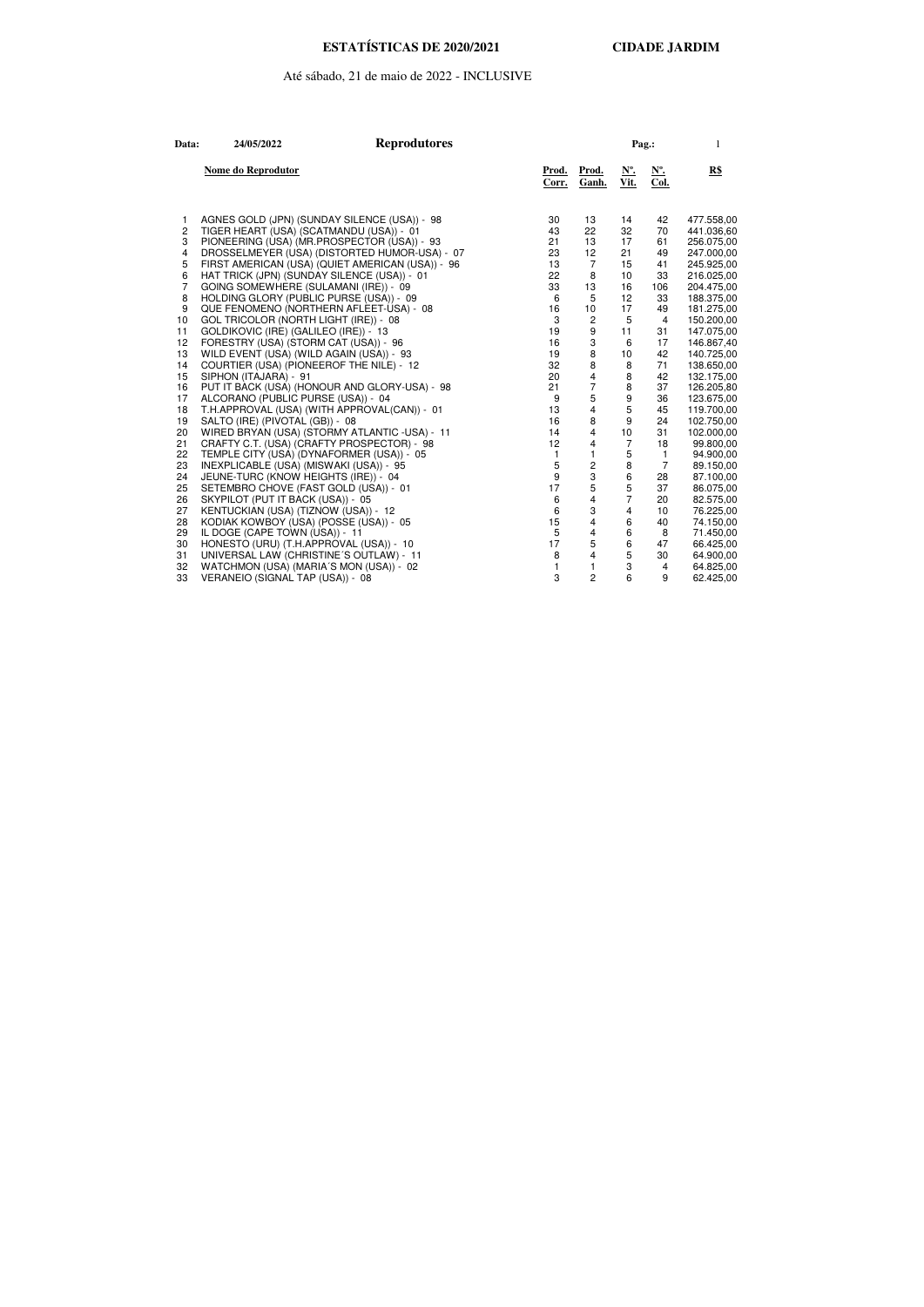## Até sábado, 21 de maio de 2022 - INCLUSIVE

| Data:          | 24/05/2022                                   | <b>Reprodutores</b>                              |                |                       | Pag.:                       |                                            | 1          |
|----------------|----------------------------------------------|--------------------------------------------------|----------------|-----------------------|-----------------------------|--------------------------------------------|------------|
|                | Nome do Reprodutor                           |                                                  | Prod.<br>Corr. | <u>Prod.</u><br>Ganh. | $\underline{N^o}$ .<br>Vit. | $\underline{\mathbf{N}^{\circ}}$ .<br>Col. | R\$        |
| 1.             | AGNES GOLD (JPN) (SUNDAY SILENCE (USA)) - 98 |                                                  | 30             | 13                    | 14                          | 42                                         | 477.558,00 |
| 2              | TIGER HEART (USA) (SCATMANDU (USA)) - 01     |                                                  | 43             | 22                    | 32                          | 70                                         | 441.036,60 |
| 3              | PIONEERING (USA) (MR.PROSPECTOR (USA)) - 93  |                                                  | 21             | 13                    | 17                          | 61                                         | 256.075,00 |
| 4              |                                              | DROSSELMEYER (USA) (DISTORTED HUMOR-USA) - 07    | 23             | 12                    | 21                          | 49                                         | 247.000,00 |
| 5              |                                              | FIRST AMERICAN (USA) (QUIET AMERICAN (USA)) - 96 | 13             | 7                     | 15                          | 41                                         | 245.925,00 |
| 6              | HAT TRICK (JPN) (SUNDAY SILENCE (USA)) - 01  |                                                  | 22             | 8                     | 10                          | 33                                         | 216.025,00 |
| $\overline{7}$ | GOING SOMEWHERE (SULAMANI (IRE)) - 09        |                                                  | 33             | 13                    | 16                          | 106                                        | 204.475,00 |
| 8              | HOLDING GLORY (PUBLIC PURSE (USA)) - 09      |                                                  | 6              | 5                     | 12                          | 33                                         | 188.375,00 |
| 9              | QUE FENOMENO (NORTHERN AFLEET-USA) - 08      |                                                  | 16             | 10                    | 17                          | 49                                         | 181.275,00 |
| 10             | GOL TRICOLOR (NORTH LIGHT (IRE)) - 08        |                                                  | 3              | 2                     | 5                           | $\overline{4}$                             | 150.200,00 |
| 11             | GOLDIKOVIC (IRE) (GALILEO (IRE)) - 13        |                                                  | 19             | 9                     | 11                          | 31                                         | 147.075,00 |
| 12             | FORESTRY (USA) (STORM CAT (USA)) - 96        |                                                  | 16             | 3                     | 6                           | 17                                         | 146.867,40 |
| 13             | WILD EVENT (USA) (WILD AGAIN (USA)) - 93     |                                                  | 19             | 8                     | 10                          | 42                                         | 140.725,00 |
| 14             | COURTIER (USA) (PIONEEROF THE NILE) - 12     |                                                  | 32             | 8                     | 8                           | 71                                         | 138.650,00 |
| 15             | SIPHON (ITAJARA) - 91                        |                                                  | 20             | 4                     | 8                           | 42                                         | 132.175,00 |
| 16             |                                              | PUT IT BACK (USA) (HONOUR AND GLORY-USA) - 98    | 21             | 7                     | 8                           | 37                                         | 126.205,80 |
| 17             | ALCORANO (PUBLIC PURSE (USA)) - 04           |                                                  | 9              | 5                     | 9                           | 36                                         | 123.675,00 |
| 18             | T.H.APPROVAL (USA) (WITH APPROVAL(CAN)) - 01 |                                                  | 13             | 4                     | 5                           | 45                                         | 119.700,00 |
| 19             | SALTO (IRE) (PIVOTAL (GB)) - 08              |                                                  | 16             | 8                     | 9                           | 24                                         | 102.750,00 |
| 20             |                                              | WIRED BRYAN (USA) (STORMY ATLANTIC -USA) - 11    | 14             | 4                     | 10                          | 31                                         | 102.000,00 |
| 21             | CRAFTY C.T. (USA) (CRAFTY PROSPECTOR) - 98   |                                                  | 12             | 4                     | 7                           | 18                                         | 99.800,00  |
| 22             | TEMPLE CITY (USA) (DYNAFORMER (USA)) - 05    |                                                  | $\mathbf{1}$   | 1                     | 5                           | $\overline{1}$                             | 94.900,00  |
| 23             | INEXPLICABLE (USA) (MISWAKI (USA)) - 95      |                                                  | 5              | 2                     | 8                           | $\overline{7}$                             | 89.150,00  |
| 24             | JEUNE-TURC (KNOW HEIGHTS (IRE)) - 04         |                                                  | 9              | 3                     | 6                           | 28                                         | 87.100,00  |
| 25             | SETEMBRO CHOVE (FAST GOLD (USA)) - 01        |                                                  | 17             | 5                     | 5                           | 37                                         | 86.075,00  |
| 26             | SKYPILOT (PUT IT BACK (USA)) - 05            |                                                  | 6              | 4                     | $\overline{7}$              | 20                                         | 82.575,00  |
| 27             | KENTUCKIAN (USA) (TIZNOW (USA)) - 12         |                                                  | 6              | 3                     | 4                           | 10                                         | 76.225,00  |
| 28             | KODIAK KOWBOY (USA) (POSSE (USA)) - 05       |                                                  | 15             | 4                     | 6                           | 40                                         | 74.150,00  |
| 29             | IL DOGE (CAPE TOWN (USA)) - 11               |                                                  | 5              | 4                     | 6                           | 8                                          | 71.450,00  |
| 30             | HONESTO (URU) (T.H.APPROVAL (USA)) - 10      |                                                  | 17             | 5                     | 6                           | 47                                         | 66.425,00  |
| 31             | UNIVERSAL LAW (CHRISTINE'S OUTLAW) - 11      |                                                  | 8              | 4                     | 5                           | 30                                         | 64.900,00  |
| 32             | WATCHMON (USA) (MARIA'S MON (USA)) - 02      |                                                  | 1              | 1                     | 3                           | $\overline{4}$                             | 64.825,00  |
| 33             | VERANEIO (SIGNAL TAP (USA)) - 08             |                                                  | 3              | 2                     | 6                           | 9                                          | 62.425,00  |